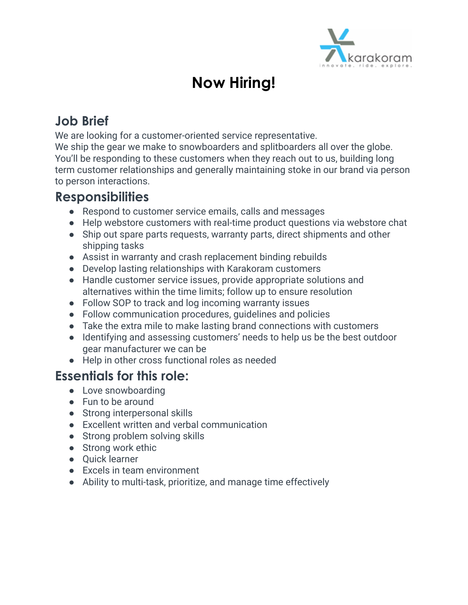

# **Now Hiring!**

## **Job Brief**

We are looking for a customer-oriented service representative.

We ship the gear we make to snowboarders and splitboarders all over the globe. You'll be responding to these customers when they reach out to us, building long term customer relationships and generally maintaining stoke in our brand via person to person interactions.

### **Responsibilities**

- Respond to customer service emails, calls and messages
- Help webstore customers with real-time product questions via webstore chat
- Ship out spare parts requests, warranty parts, direct shipments and other shipping tasks
- Assist in warranty and crash replacement binding rebuilds
- Develop lasting relationships with Karakoram customers
- Handle customer service issues, provide appropriate solutions and alternatives within the time limits; follow up to ensure resolution
- Follow SOP to track and log incoming warranty issues
- Follow communication procedures, guidelines and policies
- Take the extra mile to make lasting brand connections with customers
- Identifying and assessing customers' needs to help us be the best outdoor gear manufacturer we can be
- Help in other cross functional roles as needed

### **Essentials for this role:**

- Love snowboarding
- Fun to be around
- Strong interpersonal skills
- Excellent written and verbal communication
- Strong problem solving skills
- Strong work ethic
- Quick learner
- Excels in team environment
- Ability to multi-task, prioritize, and manage time effectively